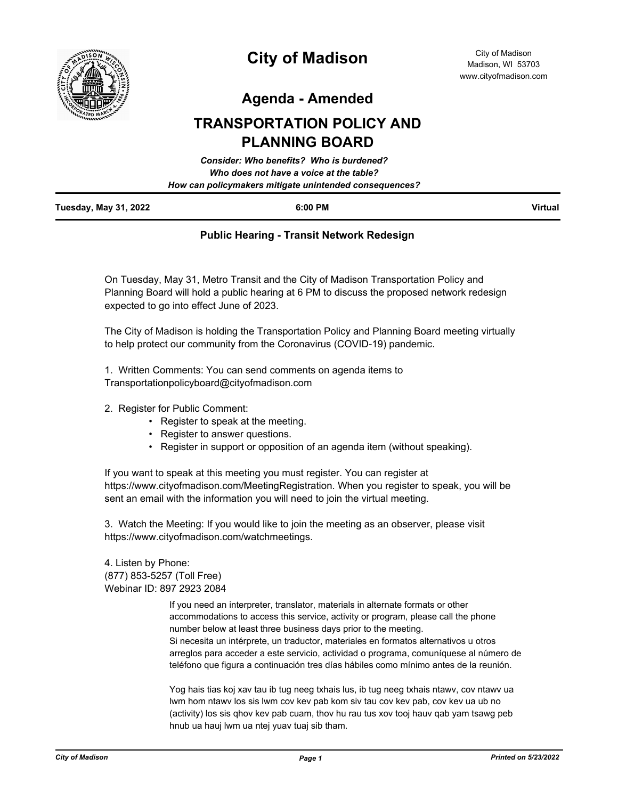

## **City of Madison**

**Agenda - Amended**

## **TRANSPORTATION POLICY AND PLANNING BOARD**

|                              | <b>Consider: Who benefits? Who is burdened?</b>        |                |
|------------------------------|--------------------------------------------------------|----------------|
|                              | Who does not have a voice at the table?                |                |
|                              | How can policymakers mitigate unintended consequences? |                |
| <b>Tuesday, May 31, 2022</b> | 6:00 PM                                                | <b>Virtual</b> |

## **Public Hearing - Transit Network Redesign**

On Tuesday, May 31, Metro Transit and the City of Madison Transportation Policy and Planning Board will hold a public hearing at 6 PM to discuss the proposed network redesign expected to go into effect June of 2023.

The City of Madison is holding the Transportation Policy and Planning Board meeting virtually to help protect our community from the Coronavirus (COVID-19) pandemic.

1. Written Comments: You can send comments on agenda items to Transportationpolicyboard@cityofmadison.com

- 2. Register for Public Comment:
	- Register to speak at the meeting.
	- Register to answer questions.
	- Register in support or opposition of an agenda item (without speaking).

If you want to speak at this meeting you must register. You can register at https://www.cityofmadison.com/MeetingRegistration. When you register to speak, you will be sent an email with the information you will need to join the virtual meeting.

3. Watch the Meeting: If you would like to join the meeting as an observer, please visit https://www.cityofmadison.com/watchmeetings.

4. Listen by Phone: (877) 853-5257 (Toll Free) Webinar ID: 897 2923 2084

> If you need an interpreter, translator, materials in alternate formats or other accommodations to access this service, activity or program, please call the phone number below at least three business days prior to the meeting. Si necesita un intérprete, un traductor, materiales en formatos alternativos u otros arreglos para acceder a este servicio, actividad o programa, comuníquese al número de teléfono que figura a continuación tres días hábiles como mínimo antes de la reunión.

Yog hais tias koj xav tau ib tug neeg txhais lus, ib tug neeg txhais ntawv, cov ntawv ua lwm hom ntawv los sis lwm cov kev pab kom siv tau cov kev pab, cov kev ua ub no (activity) los sis qhov kev pab cuam, thov hu rau tus xov tooj hauv qab yam tsawg peb hnub ua hauj lwm ua ntej yuav tuaj sib tham.